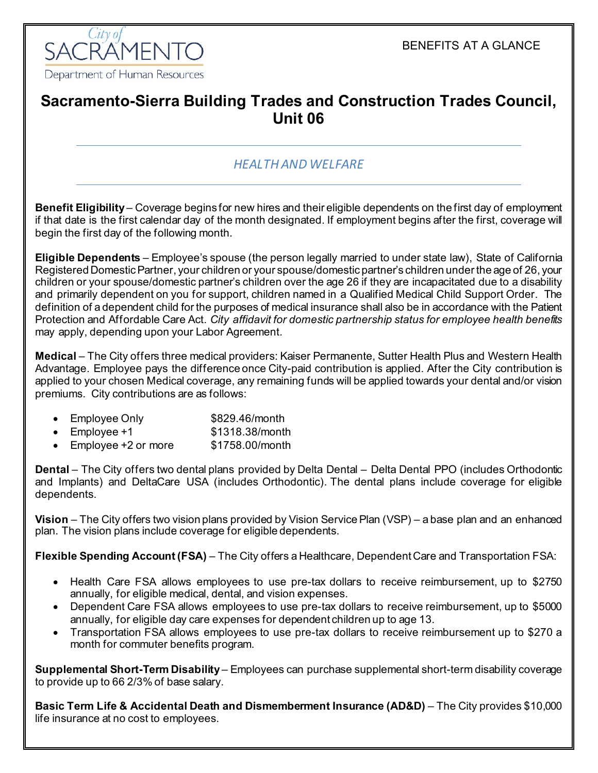BENEFITS AT A GLANCE



# **Sacramento-Sierra Building Trades and Construction Trades Council, Unit 06**

### *HEALTH AND WELFARE*

**Benefit Eligibility** – Coverage begins for new hires and their eligible dependents on the first day of employment if that date is the first calendar day of the month designated. If employment begins after the first, coverage will begin the first day of the following month.

**Eligible Dependents** – Employee's spouse (the person legally married to under state law), State of California Registered Domestic Partner, your children or your spouse/domestic partner's children under the age of 26, your children or your spouse/domestic partner's children over the age 26 if they are incapacitated due to a disability and primarily dependent on you for support, children named in a Qualified Medical Child Support Order. The definition of a dependent child for the purposes of medical insurance shall also be in accordance with the Patient Protection and Affordable Care Act. *City affidavit for domestic partnership status for employee health benefits* may apply, depending upon your Labor Agreement.

**Medical** – The City offers three medical providers: Kaiser Permanente, Sutter Health Plus and Western Health Advantage. Employee pays the difference once City-paid contribution is applied. After the City contribution is applied to your chosen Medical coverage, any remaining funds will be applied towards your dental and/or vision premiums. City contributions are as follows:

| <b>Employee Only</b> | \$829.46/month |
|----------------------|----------------|
|                      |                |

- Employee  $+1$  \$1318.38/month
- Employee +2 or more \$1758.00/month

**Dental** – The City offers two dental plans provided by Delta Dental – Delta Dental PPO (includes Orthodontic and Implants) and DeltaCare USA (includes Orthodontic). The dental plans include coverage for eligible dependents.

**Vision** – The City offers two vision plans provided by Vision Service Plan (VSP) – a base plan and an enhanced plan. The vision plans include coverage for eligible dependents.

**Flexible Spending Account (FSA)** – The City offers a Healthcare, Dependent Care and Transportation FSA:

- Health Care FSA allows employees to use pre-tax dollars to receive reimbursement, up to \$2750 annually, for eligible medical, dental, and vision expenses.
- Dependent Care FSA allows employees to use pre-tax dollars to receive reimbursement, up to \$5000 annually, for eligible day care expenses for dependent children up to age 13.
- Transportation FSA allows employees to use pre-tax dollars to receive reimbursement up to \$270 a month for commuter benefits program.

**Supplemental Short-Term Disability** – Employees can purchase supplemental short-term disability coverage to provide up to 66 2/3% of base salary.

**Basic Term Life & Accidental Death and Dismemberment Insurance (AD&D)** – The City provides \$10,000 life insurance at no cost to employees.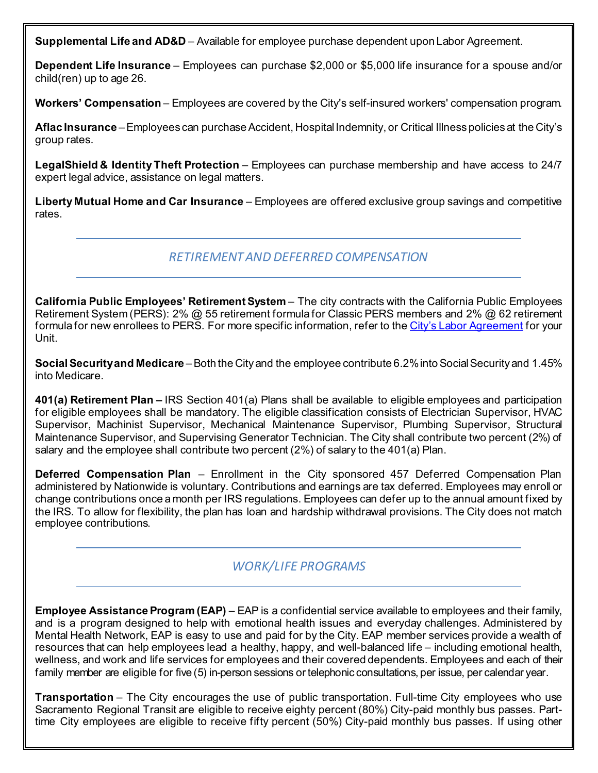**Supplemental Life and AD&D** – Available for employee purchase dependent upon Labor Agreement.

**Dependent Life Insurance** – Employees can purchase \$2,000 or \$5,000 life insurance for a spouse and/or child(ren) up to age 26.

**Workers' Compensation** – Employees are covered by the City's self-insured workers' compensation program.

**Aflac Insurance** –Employees can purchase Accident, Hospital Indemnity, or Critical Illness policies at the City's group rates.

**LegalShield & Identity Theft Protection** – Employees can purchase membership and have access to 24/7 expert legal advice, assistance on legal matters.

**Liberty Mutual Home and Car Insurance** – Employees are offered exclusive group savings and competitive rates.

#### *RETIREMENT AND DEFERRED COMPENSATION*

**California Public Employees' Retirement System** – The city contracts with the California Public Employees Retirement System (PERS): 2% @ 55 retirement formula for Classic PERS members and 2% @ 62 retirement formula for new enrollees to PERS. For more specific information, refer to th[e City's Labor Agreement](http://www.cityofsacramento.org/HR/Divisions/Labor-Relations/Labor-Agreements) for your Unit.

**Social Security and Medicare** – Both the City and the employee contribute 6.2% into Social Security and 1.45% into Medicare.

**401(a) Retirement Plan –** IRS Section 401(a) Plans shall be available to eligible employees and participation for eligible employees shall be mandatory. The eligible classification consists of Electrician Supervisor, HVAC Supervisor, Machinist Supervisor, Mechanical Maintenance Supervisor, Plumbing Supervisor, Structural Maintenance Supervisor, and Supervising Generator Technician. The City shall contribute two percent (2%) of salary and the employee shall contribute two percent (2%) of salary to the 401(a) Plan.

**Deferred Compensation Plan** – Enrollment in the City sponsored 457 Deferred Compensation Plan administered by Nationwide is voluntary. Contributions and earnings are tax deferred. Employees may enroll or change contributions once a month per IRS regulations. Employees can defer up to the annual amount fixed by the IRS. To allow for flexibility, the plan has loan and hardship withdrawal provisions. The City does not match employee contributions.

## *WORK/LIFE PROGRAMS*

**Employee Assistance Program (EAP)** – EAP is a confidential service available to employees and their family, and is a program designed to help with emotional health issues and everyday challenges. Administered by Mental Health Network, EAP is easy to use and paid for by the City. EAP member services provide a wealth of resources that can help employees lead a healthy, happy, and well-balanced life – including emotional health, wellness, and work and life services for employees and their covered dependents. Employees and each of their family member are eligible for five (5) in-person sessions or telephonic consultations, per issue, per calendar year.

**Transportation** – The City encourages the use of public transportation. Full-time City employees who use Sacramento Regional Transit are eligible to receive eighty percent (80%) City-paid monthly bus passes. Parttime City employees are eligible to receive fifty percent (50%) City-paid monthly bus passes. If using other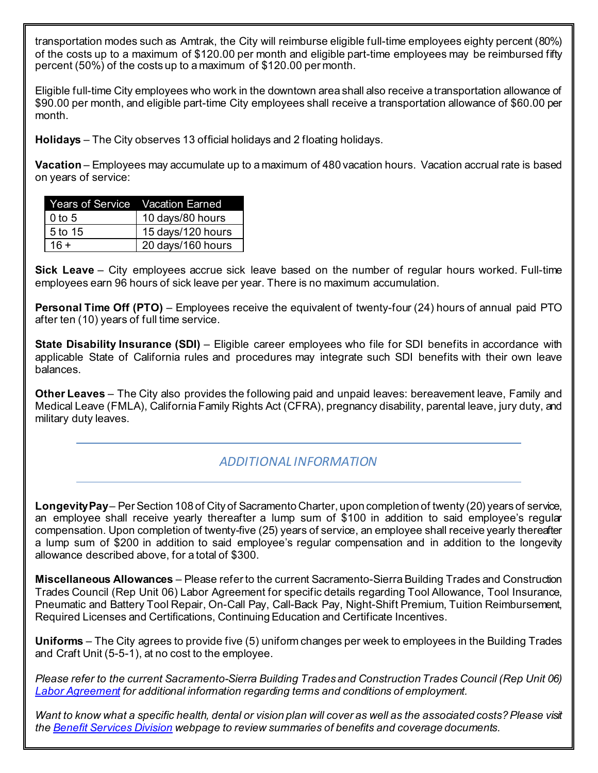transportation modes such as Amtrak, the City will reimburse eligible full-time employees eighty percent (80%) of the costs up to a maximum of \$120.00 per month and eligible part-time employees may be reimbursed fifty percent (50%) of the costs up to a maximum of \$120.00 per month.

Eligible full-time City employees who work in the downtown area shall also receive a transportation allowance of \$90.00 per month, and eligible part-time City employees shall receive a transportation allowance of \$60.00 per month.

**Holidays** – The City observes 13 official holidays and 2 floating holidays.

**Vacation** – Employees may accumulate up to a maximum of 480 vacation hours. Vacation accrual rate is based on years of service:

| Years of Service Vacation Earned |                   |
|----------------------------------|-------------------|
| $0$ to 5                         | 10 days/80 hours  |
| l 5 to 15                        | 15 days/120 hours |
| $16 +$                           | 20 days/160 hours |

**Sick Leave** – City employees accrue sick leave based on the number of regular hours worked. Full-time employees earn 96 hours of sick leave per year. There is no maximum accumulation.

**Personal Time Off (PTO)** – Employees receive the equivalent of twenty-four (24) hours of annual paid PTO after ten (10) years of full time service.

**State Disability Insurance (SDI)** – Eligible career employees who file for SDI benefits in accordance with applicable State of California rules and procedures may integrate such SDI benefits with their own leave balances.

**Other Leaves** – The City also provides the following paid and unpaid leaves: bereavement leave, Family and Medical Leave (FMLA), California Family Rights Act (CFRA), pregnancy disability, parental leave, jury duty, and military duty leaves.

## *ADDITIONAL INFORMATION*

**Longevity Pay**– Per Section 108 of City of Sacramento Charter, upon completion of twenty (20) years of service, an employee shall receive yearly thereafter a lump sum of \$100 in addition to said employee's regular compensation. Upon completion of twenty-five (25) years of service, an employee shall receive yearly thereafter a lump sum of \$200 in addition to said employee's regular compensation and in addition to the longevity allowance described above, for a total of \$300.

**Miscellaneous Allowances** – Please refer to the current Sacramento-Sierra Building Trades and Construction Trades Council (Rep Unit 06) Labor Agreement for specific details regarding Tool Allowance, Tool Insurance, Pneumatic and Battery Tool Repair, On-Call Pay, Call-Back Pay, Night-Shift Premium, Tuition Reimbursement, Required Licenses and Certifications, Continuing Education and Certificate Incentives.

**Uniforms** – The City agrees to provide five (5) uniform changes per week to employees in the Building Trades and Craft Unit (5-5-1), at no cost to the employee.

*Please refer to the current Sacramento-Sierra Building Trades and Construction Trades Council (Rep Unit 06) [Labor Agreement](http://www.cityofsacramento.org/HR/Divisions/Labor-Relations/Labor-Agreements) for additional information regarding terms and conditions of employment.*

*Want to know what a specific health, dental or vision plan will cover as well as the associated costs? Please visit the [Benefit Services Division](http://www.cityofsacramento.org/HR/Divisions/Benefits-Retirement) webpage to review summaries of benefits and coverage documents.*